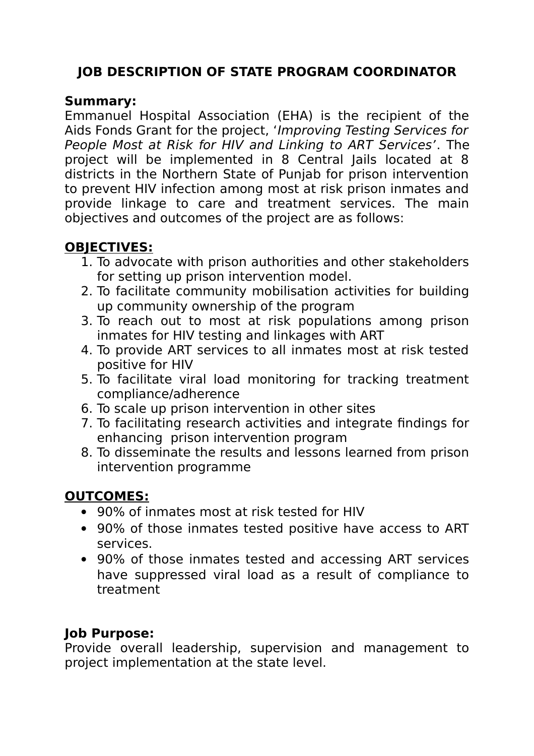# **JOB DESCRIPTION OF STATE PROGRAM COORDINATOR**

#### **Summary:**

Emmanuel Hospital Association (EHA) is the recipient of the Aids Fonds Grant for the project, 'Improving Testing Services for People Most at Risk for HIV and Linking to ART Services'. The project will be implemented in 8 Central Jails located at 8 districts in the Northern State of Punjab for prison intervention to prevent HIV infection among most at risk prison inmates and provide linkage to care and treatment services. The main objectives and outcomes of the project are as follows:

# **OBJECTIVES:**

- 1. To advocate with prison authorities and other stakeholders for setting up prison intervention model.
- 2. To facilitate community mobilisation activities for building up community ownership of the program
- 3. To reach out to most at risk populations among prison inmates for HIV testing and linkages with ART
- 4. To provide ART services to all inmates most at risk tested positive for HIV
- 5. To facilitate viral load monitoring for tracking treatment compliance/adherence
- 6. To scale up prison intervention in other sites
- 7. To facilitating research activities and integrate findings for enhancing prison intervention program
- 8. To disseminate the results and lessons learned from prison intervention programme

## **OUTCOMES:**

- 90% of inmates most at risk tested for HIV
- 90% of those inmates tested positive have access to ART services.
- 90% of those inmates tested and accessing ART services have suppressed viral load as a result of compliance to treatment

## **Job Purpose:**

Provide overall leadership, supervision and management to project implementation at the state level.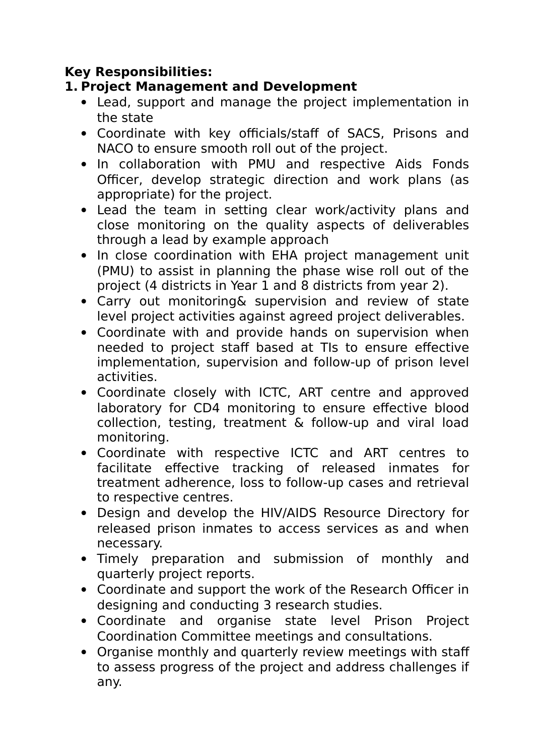#### **Key Responsibilities:**

#### **1. Project Management and Development**

- Lead, support and manage the project implementation in the state
- Coordinate with key officials/staff of SACS, Prisons and NACO to ensure smooth roll out of the project.
- In collaboration with PMU and respective Aids Fonds Officer, develop strategic direction and work plans (as appropriate) for the project.
- Lead the team in setting clear work/activity plans and close monitoring on the quality aspects of deliverables through a lead by example approach
- In close coordination with EHA project management unit (PMU) to assist in planning the phase wise roll out of the project (4 districts in Year 1 and 8 districts from year 2).
- Carry out monitoring& supervision and review of state level project activities against agreed project deliverables.
- Coordinate with and provide hands on supervision when needed to project staff based at TIs to ensure effective implementation, supervision and follow-up of prison level activities.
- Coordinate closely with ICTC, ART centre and approved laboratory for CD4 monitoring to ensure effective blood collection, testing, treatment & follow-up and viral load monitoring.
- Coordinate with respective ICTC and ART centres to facilitate effective tracking of released inmates for treatment adherence, loss to follow-up cases and retrieval to respective centres.
- Design and develop the HIV/AIDS Resource Directory for released prison inmates to access services as and when necessary.
- Timely preparation and submission of monthly and quarterly project reports.
- Coordinate and support the work of the Research Officer in designing and conducting 3 research studies.
- Coordinate and organise state level Prison Project Coordination Committee meetings and consultations.
- Organise monthly and quarterly review meetings with staff to assess progress of the project and address challenges if any.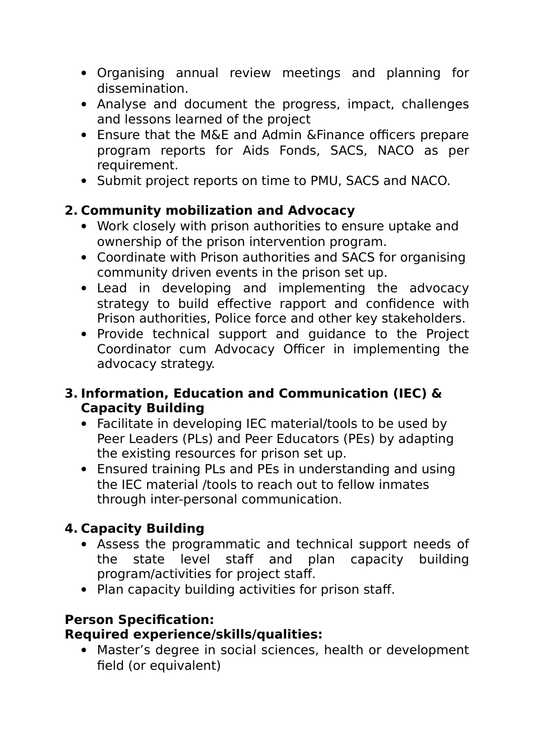- Organising annual review meetings and planning for dissemination.
- Analyse and document the progress, impact, challenges and lessons learned of the project
- Ensure that the M&E and Admin &Finance officers prepare program reports for Aids Fonds, SACS, NACO as per requirement.
- Submit project reports on time to PMU, SACS and NACO.

## **2. Community mobilization and Advocacy**

- Work closely with prison authorities to ensure uptake and ownership of the prison intervention program.
- Coordinate with Prison authorities and SACS for organising community driven events in the prison set up.
- Lead in developing and implementing the advocacy strategy to build effective rapport and confidence with Prison authorities, Police force and other key stakeholders.
- Provide technical support and guidance to the Project Coordinator cum Advocacy Officer in implementing the advocacy strategy.

#### **3. Information, Education and Communication (IEC) & Capacity Building**

- Facilitate in developing IEC material/tools to be used by Peer Leaders (PLs) and Peer Educators (PEs) by adapting the existing resources for prison set up.
- Ensured training PLs and PEs in understanding and using the IEC material /tools to reach out to fellow inmates through inter-personal communication.

## **4. Capacity Building**

- Assess the programmatic and technical support needs of the state level staff and plan capacity building program/activities for project staff.
- Plan capacity building activities for prison staff.

# **Person Specification:**

#### **Required experience/skills/qualities:**

 Master's degree in social sciences, health or development field (or equivalent)